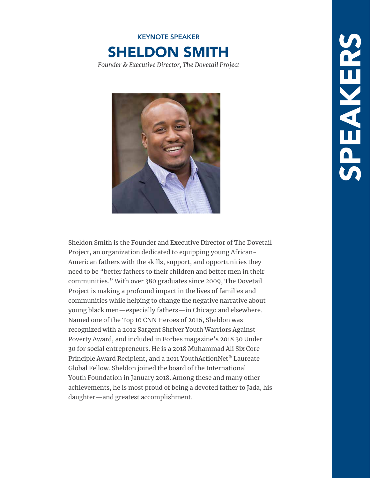



Sheldon Smith is the Founder and Executive Director of The Dovetail Project, an organization dedicated to equipping young African-American fathers with the skills, support, and opportunities they need to be "better fathers to their children and better men in their communities." With over 380 graduates since 2009, The Dovetail Project is making a profound impact in the lives of families and communities while helping to change the negative narrative about young black men—especially fathers—in Chicago and elsewhere. Named one of the Top 10 CNN Heroes of 2016, Sheldon was recognized with a 2012 Sargent Shriver Youth Warriors Against Poverty Award, and included in Forbes magazine's 2018 30 Under 30 for social entrepreneurs. He is a 2018 Muhammad Ali Six Core Principle Award Recipient, and a 2011 YouthActionNet® Laureate Global Fellow. Sheldon joined the board of the International Youth Foundation in January 2018. Among these and many other achievements, he is most proud of being a devoted father to Jada, his daughter—and greatest accomplishment.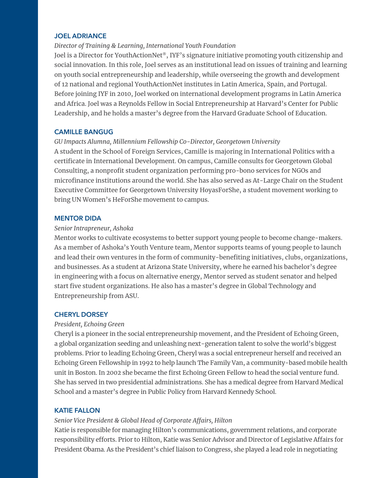#### **JOEL ADRIANCE**

#### *Director of Training & Learning, International Youth Foundation*

Joel is a Director for YouthActionNet®, IYF's signature initiative promoting youth citizenship and social innovation. In this role, Joel serves as an institutional lead on issues of training and learning on youth social entrepreneurship and leadership, while overseeing the growth and development of 12 national and regional YouthActionNet institutes in Latin America, Spain, and Portugal. Before joining IYF in 2010, Joel worked on international development programs in Latin America and Africa. Joel was a Reynolds Fellow in Social Entrepreneurship at Harvard's Center for Public Leadership, and he holds a master's degree from the Harvard Graduate School of Education.

#### **CAMILLE BANGUG**

#### *GU Impacts Alumna, Millennium Fellowship Co-Director, Georgetown University*

A student in the School of Foreign Services, Camille is majoring in International Politics with a certificate in International Development. On campus, Camille consults for Georgetown Global Consulting, a nonprofit student organization performing pro-bono services for NGOs and microfinance institutions around the world. She has also served as At-Large Chair on the Student Executive Committee for Georgetown University HoyasForShe, a student movement working to bring UN Women's HeForShe movement to campus.

#### **MENTOR DIDA**

#### *Senior Intrapreneur, Ashoka*

Mentor works to cultivate ecosystems to better support young people to become change-makers. As a member of Ashoka's Youth Venture team, Mentor supports teams of young people to launch and lead their own ventures in the form of community-benefiting initiatives, clubs, organizations, and businesses. As a student at Arizona State University, where he earned his bachelor's degree in engineering with a focus on alternative energy, Mentor served as student senator and helped start five student organizations. He also has a master's degree in Global Technology and Entrepreneurship from ASU.

#### **CHERYL DORSEY**

#### *President, Echoing Green*

Cheryl is a pioneer in the social entrepreneurship movement, and the President of Echoing Green, a global organization seeding and unleashing next-generation talent to solve the world's biggest problems. Prior to leading Echoing Green, Cheryl was a social entrepreneur herself and received an Echoing Green Fellowship in 1992 to help launch The Family Van, a community-based mobile health unit in Boston. In 2002 she became the first Echoing Green Fellow to head the social venture fund. She has served in two presidential administrations. She has a medical degree from Harvard Medical School and a master's degree in Public Policy from Harvard Kennedy School.

#### **KATIE FALLON**

### *Senior Vice President & Global Head of Corporate Affairs, Hilton*

Katie is responsible for managing Hilton's communications, government relations, and corporate responsibility efforts. Prior to Hilton, Katie was Senior Advisor and Director of Legislative Affairs for President Obama. As the President's chief liaison to Congress, she played a lead role in negotiating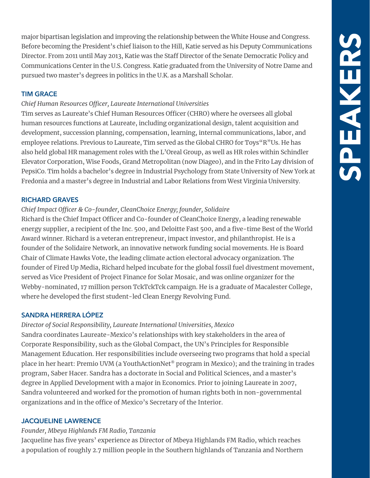major bipartisan legislation and improving the relationship between the White House and Congress. Before becoming the President's chief liaison to the Hill, Katie served as his Deputy Communications Director. From 2011 until May 2013, Katie was the Staff Director of the Senate Democratic Policy and Communications Center in the U.S. Congress. Katie graduated from the University of Notre Dame and pursued two master's degrees in politics in the U.K. as a Marshall Scholar.

## **TIM GRACE**

### *Chief Human Resources Officer, Laureate International Universities*

Tim serves as Laureate's Chief Human Resources Officer (CHRO) where he oversees all global human resources functions at Laureate, including organizational design, talent acquisition and development, succession planning, compensation, learning, internal communications, labor, and employee relations. Previous to Laureate, Tim served as the Global CHRO for Toys"R"Us. He has also held global HR management roles with the L'Oreal Group, as well as HR roles within Schindler Elevator Corporation, Wise Foods, Grand Metropolitan (now Diageo), and in the Frito Lay division of PepsiCo. Tim holds a bachelor's degree in Industrial Psychology from State University of New York at Fredonia and a master's degree in Industrial and Labor Relations from West Virginia University.

### **RICHARD GRAVES**

### *Chief Impact Officer & Co-founder, CleanChoice Energy; founder, Solidaire*

Richard is the Chief Impact Officer and Co-founder of CleanChoice Energy, a leading renewable energy supplier, a recipient of the Inc. 500, and Deloitte Fast 500, and a five-time Best of the World Award winner. Richard is a veteran entrepreneur, impact investor, and philanthropist. He is a founder of the Solidaire Network, an innovative network funding social movements. He is Board Chair of Climate Hawks Vote, the leading climate action electoral advocacy organization. The founder of Fired Up Media, Richard helped incubate for the global fossil fuel divestment movement, served as Vice President of Project Finance for Solar Mosaic, and was online organizer for the Webby-nominated, 17 million person TckTckTck campaign. He is a graduate of Macalester College, where he developed the first student-led Clean Energy Revolving Fund.

### **SANDRA HERRERA LÓPEZ**

*Director of Social Responsibility, Laureate International Universities, Mexico* Sandra coordinates Laureate-Mexico's relationships with key stakeholders in the area of Corporate Responsibility, such as the Global Compact, the UN's Principles for Responsible Management Education. Her responsibilities include overseeing two programs that hold a special place in her heart: Premio UVM (a YouthActionNet® program in Mexico); and the training in trades program, Saber Hacer. Sandra has a doctorate in Social and Political Sciences, and a master's degree in Applied Development with a major in Economics. Prior to joining Laureate in 2007, Sandra volunteered and worked for the promotion of human rights both in non-governmental organizations and in the office of Mexico's Secretary of the Interior.

### **JACQUELINE LAWRENCE**

# *Founder, Mbeya Highlands FM Radio, Tanzania*

Jacqueline has five years' experience as Director of Mbeya Highlands FM Radio, which reaches a population of roughly 2.7 million people in the Southern highlands of Tanzania and Northern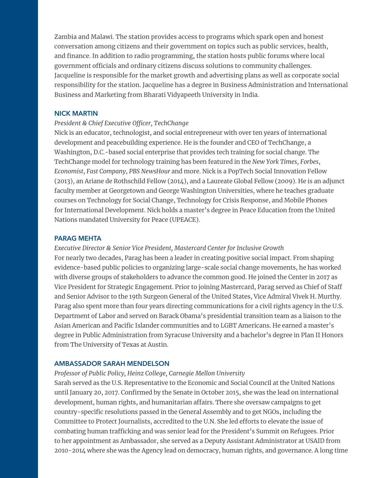Zambia and Malawi. The station provides access to programs which spark open and honest conversation among citizens and their government on topics such as public services, health, and finance. In addition to radio programming, the station hosts public forums where local government officials and ordinary citizens discuss solutions to community challenges. Jacqueline is responsible for the market growth and advertising plans as well as corporate social responsibility for the station. Jacqueline has a degree in Business Administration and International Business and Marketing from Bharati Vidyapeeth University in India.

#### **NICK MARTIN**

#### *President & Chief Executive Officer, TechChange*

Nick is an educator, technologist, and social entrepreneur with over ten years of international development and peacebuilding experience. He is the founder and CEO of TechChange, a Washington, D.C.-based social enterprise that provides tech training for social change. The TechChange model for technology training has been featured in the *New York Times*, *Forbes*, *Economist*, *Fast Company*, *PBS NewsHour* and more. Nick is a PopTech Social Innovation Fellow (2013), an Ariane de Rothschild Fellow (2014), and a Laureate Global Fellow (2009). He is an adjunct faculty member at Georgetown and George Washington Universities, where he teaches graduate courses on Technology for Social Change, Technology for Crisis Response, and Mobile Phones for International Development. Nick holds a master's degree in Peace Education from the United Nations mandated University for Peace (UPEACE).

#### **PARAG MEHTA**

*Executive Director & Senior Vice President, Mastercard Center for Inclusive Growth* For nearly two decades, Parag has been a leader in creating positive social impact. From shaping evidence-based public policies to organizing large-scale social change movements, he has worked with diverse groups of stakeholders to advance the common good. He joined the Center in 2017 as Vice President for Strategic Engagement. Prior to joining Mastercard, Parag served as Chief of Staff and Senior Advisor to the 19th Surgeon General of the United States, Vice Admiral Vivek H. Murthy. Parag also spent more than four years directing communications for a civil rights agency in the U.S. Department of Labor and served on Barack Obama's presidential transition team as a liaison to the Asian American and Pacific Islander communities and to LGBT Americans. He earned a master's degree in Public Administration from Syracuse University and a bachelor's degree in Plan II Honors from The University of Texas at Austin.

#### **AMBASSADOR SARAH MENDELSON**

*Professor of Public Policy, Heinz College, Carnegie Mellon University*

Sarah served as the U.S. Representative to the Economic and Social Council at the United Nations until January 20, 2017. Confirmed by the Senate in October 2015, she was the lead on international development, human rights, and humanitarian affairs. There she oversaw campaigns to get country-specific resolutions passed in the General Assembly and to get NGOs, including the Committee to Protect Journalists, accredited to the U.N. She led efforts to elevate the issue of combating human trafficking and was senior lead for the President's Summit on Refugees. Prior to her appointment as Ambassador, she served as a Deputy Assistant Administrator at USAID from 2010-2014 where she was the Agency lead on democracy, human rights, and governance. A long time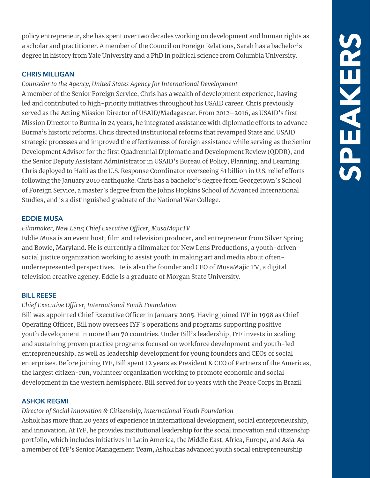policy entrepreneur, she has spent over two decades working on development and human rights as a scholar and practitioner. A member of the Council on Foreign Relations, Sarah has a bachelor's degree in history from Yale University and a PhD in political science from Columbia University.

### **CHRIS MILLIGAN**

### *Counselor to the Agency, United States Agency for International Development*

A member of the Senior Foreign Service, Chris has a wealth of development experience, having led and contributed to high-priority initiatives throughout his USAID career. Chris previously served as the Acting Mission Director of USAID/Madagascar. From 2012–2016, as USAID's first Mission Director to Burma in 24 years, he integrated assistance with diplomatic efforts to advance Burma's historic reforms. Chris directed institutional reforms that revamped State and USAID strategic processes and improved the effectiveness of foreign assistance while serving as the Senior Development Advisor for the first Quadrennial Diplomatic and Development Review (QDDR), and the Senior Deputy Assistant Administrator in USAID's Bureau of Policy, Planning, and Learning. Chris deployed to Haiti as the U.S. Response Coordinator overseeing \$1 billion in U.S. relief efforts following the January 2010 earthquake. Chris has a bachelor's degree from Georgetown's School of Foreign Service, a master's degree from the Johns Hopkins School of Advanced International Studies, and is a distinguished graduate of the National War College.

### **EDDIE MUSA**

### *Filmmaker, New Lens; Chief Executive Officer, MusaMajicTV*

Eddie Musa is an event host, film and television producer, and entrepreneur from Silver Spring and Bowie, Maryland. He is currently a filmmaker for New Lens Productions, a youth-driven social justice organization working to assist youth in making art and media about oftenunderrepresented perspectives. He is also the founder and CEO of MusaMajic TV, a digital television creative agency. Eddie is a graduate of Morgan State University.

#### **BILL REESE**

### *Chief Executive Officer, International Youth Foundation*

Bill was appointed Chief Executive Officer in January 2005. Having joined IYF in 1998 as Chief Operating Officer, Bill now oversees IYF's operations and programs supporting positive youth development in more than 70 countries. Under Bill's leadership, IYF invests in scaling and sustaining proven practice programs focused on workforce development and youth-led entrepreneurship, as well as leadership development for young founders and CEOs of social enterprises. Before joining IYF, Bill spent 12 years as President & CEO of Partners of the Americas, the largest citizen-run, volunteer organization working to promote economic and social development in the western hemisphere. Bill served for 10 years with the Peace Corps in Brazil.

#### **ASHOK REGMI**

# *Director of Social Innovation & Citizenship, International Youth Foundation*

Ashok has more than 20 years of experience in international development, social entrepreneurship, and innovation. At IYF, he provides institutional leadership for the social innovation and citizenship portfolio, which includes initiatives in Latin America, the Middle East, Africa, Europe, and Asia. As a member of IYF's Senior Management Team, Ashok has advanced youth social entrepreneurship